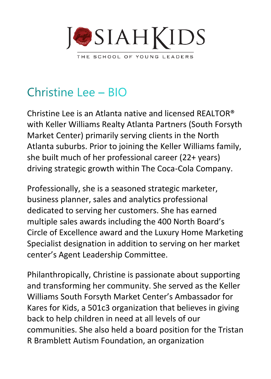

## Christine Lee - BIO

Christine Lee is an Atlanta native and licensed REALTOR® with Keller Williams Realty Atlanta Partners (South Forsyth Market Center) primarily serving clients in the North Atlanta suburbs. Prior to joining the Keller Williams family, she built much of her professional career (22+ years) driving strategic growth within The Coca-Cola Company.

Professionally, she is a seasoned strategic marketer, business planner, sales and analytics professional dedicated to serving her customers. She has earned multiple sales awards including the 400 North Board's Circle of Excellence award and the Luxury Home Marketing Specialist designation in addition to serving on her market center's Agent Leadership Committee.

Philanthropically, Christine is passionate about supporting and transforming her community. She served as the Keller Williams South Forsyth Market Center's Ambassador for Kares for Kids, a 501c3 organization that believes in giving back to help children in need at all levels of our communities. She also held a board position for the Tristan R Bramblett Autism Foundation, an organization